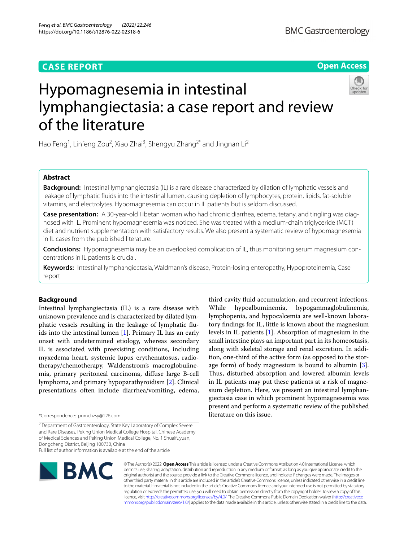## **CASE REPORT**

**Open Access**

# Hypomagnesemia in intestinal lymphangiectasia: a case report and review of the literature

Hao Feng<sup>1</sup>, Linfeng Zou<sup>2</sup>, Xiao Zhai<sup>3</sup>, Shengyu Zhang<sup>2\*</sup> and Jingnan Li<sup>2</sup>

## **Abstract**

**Background:** Intestinal lymphangiectasia (IL) is a rare disease characterized by dilation of lymphatic vessels and leakage of lymphatic fuids into the intestinal lumen, causing depletion of lymphocytes, protein, lipids, fat-soluble vitamins, and electrolytes. Hypomagnesemia can occur in IL patients but is seldom discussed.

**Case presentation:** A 30-year-old Tibetan woman who had chronic diarrhea, edema, tetany, and tingling was diagnosed with IL. Prominent hypomagnesemia was noticed. She was treated with a medium-chain triglyceride (MCT) diet and nutrient supplementation with satisfactory results. We also present a systematic review of hypomagnesemia in IL cases from the published literature.

**Conclusions:** Hypomagnesemia may be an overlooked complication of IL, thus monitoring serum magnesium concentrations in IL patients is crucial.

**Keywords:** Intestinal lymphangiectasia, Waldmann's disease, Protein-losing enteropathy, Hypoproteinemia, Case report

### **Background**

Intestinal lymphangiectasia (IL) is a rare disease with unknown prevalence and is characterized by dilated lymphatic vessels resulting in the leakage of lymphatic fuids into the intestinal lumen [[1\]](#page-6-0). Primary IL has an early onset with undetermined etiology, whereas secondary IL is associated with preexisting conditions, including myxedema heart, systemic lupus erythematosus, radiotherapy/chemotherapy, Waldenstrom's macroglobulinemia, primary peritoneal carcinoma, difuse large B-cell lymphoma, and primary hypoparathyroidism [\[2](#page-6-1)]. Clinical presentations often include diarrhea/vomiting, edema,

<sup>2</sup> Department of Gastroenterology, State Key Laboratory of Complex Severe and Rare Diseases, Peking Union Medical College Hospital, Chinese Academy of Medical Sciences and Peking Union Medical College, No. 1 Shuaifuyuan, Dongcheng District, Beijing 100730, China

Full list of author information is available at the end of the article



© The Author(s) 2022. **Open Access** This article is licensed under a Creative Commons Attribution 4.0 International License, which permits use, sharing, adaptation, distribution and reproduction in any medium or format, as long as you give appropriate credit to the original author(s) and the source, provide a link to the Creative Commons licence, and indicate if changes were made. The images or other third party material in this article are included in the article's Creative Commons licence, unless indicated otherwise in a credit line to the material. If material is not included in the article's Creative Commons licence and your intended use is not permitted by statutory regulation or exceeds the permitted use, you will need to obtain permission directly from the copyright holder. To view a copy of this licence, visit [http://creativecommons.org/licenses/by/4.0/.](http://creativecommons.org/licenses/by/4.0/) The Creative Commons Public Domain Dedication waiver ([http://creativeco](http://creativecommons.org/publicdomain/zero/1.0/) [mmons.org/publicdomain/zero/1.0/](http://creativecommons.org/publicdomain/zero/1.0/)) applies to the data made available in this article, unless otherwise stated in a credit line to the data.

third cavity fuid accumulation, and recurrent infections. While hypoalbuminemia, hypogammaglobulinemia, lymphopenia, and hypocalcemia are well-known laboratory fndings for IL, little is known about the magnesium levels in IL patients [\[1\]](#page-6-0). Absorption of magnesium in the small intestine plays an important part in its homeostasis, along with skeletal storage and renal excretion. In addition, one-third of the active form (as opposed to the storage form) of body magnesium is bound to albumin [\[3](#page-6-2)]. Thus, disturbed absorption and lowered albumin levels in IL patients may put these patients at a risk of magnesium depletion. Here, we present an intestinal lymphangiectasia case in which prominent hypomagnesemia was present and perform a systematic review of the published literature on this issue.

<sup>\*</sup>Correspondence: pumchzsy@126.com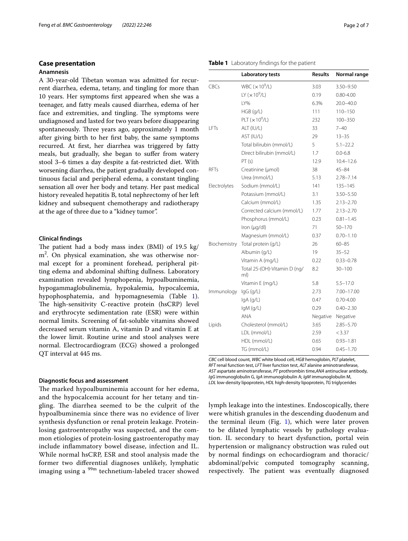#### **Case presentation**

#### **Anamnesis**

A 30-year-old Tibetan woman was admitted for recurrent diarrhea, edema, tetany, and tingling for more than 10 years. Her symptoms frst appeared when she was a teenager, and fatty meals caused diarrhea, edema of her face and extremities, and tingling. The symptoms were undiagnosed and lasted for two years before disappearing spontaneously. Three years ago, approximately 1 month after giving birth to her frst baby, the same symptoms recurred. At frst, her diarrhea was triggered by fatty meals, but gradually, she began to sufer from watery stool 3–6 times a day despite a fat-restricted diet. With worsening diarrhea, the patient gradually developed continuous facial and peripheral edema, a constant tingling sensation all over her body and tetany. Her past medical history revealed hepatitis B, total nephrectomy of her left kidney and subsequent chemotherapy and radiotherapy at the age of three due to a "kidney tumor".

#### **Clinical fndings**

The patient had a body mass index (BMI) of  $19.5 \text{ kg}$ / m2 . On physical examination, she was otherwise normal except for a prominent forehead, peripheral pitting edema and abdominal shifting dullness. Laboratory examination revealed lymphopenia, hypoalbuminemia, hypogammaglobulinemia, hypokalemia, hypocalcemia, hypophosphatemia, and hypomagnesemia (Table [1](#page-1-0)). The high-sensitivity C-reactive protein (hsCRP) level and erythrocyte sedimentation rate (ESR) were within normal limits. Screening of fat-soluble vitamins showed decreased serum vitamin A, vitamin D and vitamin E at the lower limit. Routine urine and stool analyses were normal. Electrocardiogram (ECG) showed a prolonged QT interval at 445 ms.

#### **Diagnostic focus and assessment**

The marked hypoalbuminemia account for her edema, and the hypocalcemia account for her tetany and tingling. The diarrhea seemed to be the culprit of the hypoalbuminemia since there was no evidence of liver synthesis dysfunction or renal protein leakage. Proteinlosing gastroenteropathy was suspected, and the common etiologies of protein-losing gastroenteropathy may include infammatory bowel disease, infection and IL. While normal hsCRP, ESR and stool analysis made the former two diferential diagnoses unlikely, lymphatic imaging using a  $99m$  technetium-labeled tracer showed

## <span id="page-1-0"></span>**Table 1** Laboratory fndings for the patient

|              | Laboratory tests                    | <b>Results</b> | Normal range  |
|--------------|-------------------------------------|----------------|---------------|
| CBCs         | WBC $(x10^9/L)$                     | 3.03           | 3.50-9.50     |
|              | LY $(x 10^9/L)$                     | 0.19           | $0.80 - 4.00$ |
|              | LY%                                 | 6.3%           | 20.0-40.0     |
|              | $HGB$ (g/L)                         | 111            | $110 - 150$   |
|              | PLT $(x10^9/L)$                     | 232            | $100 - 350$   |
| LFTs         | ALT (IU/L)                          | 33             | $7 - 40$      |
|              | AST (IU/L)                          | 29             | $13 - 35$     |
|              | Total bilirubin (mmol/L)            | 5              | $5.1 - 22.2$  |
|              | Direct bilirubin (mmol/L)           | 1.7            | $0.0 - 6.8$   |
|              | PT(s)                               | 12.9           | $10.4 - 12.6$ |
| <b>RFTs</b>  | Creatinine (µmol)                   | 38             | $45 - 84$     |
|              | Urea (mmol/L)                       | 5.13           | $2.78 - 7.14$ |
| Electrolytes | Sodium (mmol/L)                     | 141            | $135 - 145$   |
|              | Potassium (mmol/L)                  | 3.1            | 3.50-5.50     |
|              | Calcium (mmol/L)                    | 1.35           | $2.13 - 2.70$ |
|              | Corrected calcium (mmol/L)          | 1.77           | $2.13 - 2.70$ |
|              | Phosphorus (mmol/L)                 | 0.23           | $0.81 - 1.45$ |
|              | Iron $(\mu q/d)$                    | 71             | $50 - 170$    |
|              | Magnesium (mmol/L)                  | 0.37           | $0.70 - 1.10$ |
| Biochemistry | Total protein (g/L)                 | 26             | $60 - 85$     |
|              | Albumin (g/L)                       | 19             | $35 - 52$     |
|              | Vitamin A (mg/L)                    | 0.22           | $0.33 - 0.78$ |
|              | Total 25-(OH)-Vitamin D (ng/<br>ml) | 8.2            | $30 - 100$    |
|              | Vitamin E (mg/L)                    | 5.8            | $5.5 - 17.0$  |
| Immunology   | lgG(q/L)                            | 2.73           | 7.00-17.00    |
|              | lgA(q/L)                            | 0.47           | $0.70 - 4.00$ |
|              | $lgM$ (g/L)                         | 0.29           | $0.40 - 2.30$ |
|              | <b>ANA</b>                          | Negative       | Negative      |
| Lipids       | Cholesterol (mmol/L)                | 3.65           | $2.85 - 5.70$ |
|              | LDL (mmol/L)                        | 2.59           | < 3.37        |
|              | HDL (mmol/L)                        | 0.65           | $0.93 - 1.81$ |
|              | TG (mmol/L)                         | 0.94           | $0.45 - 1.70$ |
|              |                                     |                |               |

*CBC* cell blood count, *WBC* white blood cell, *HGB* hemoglobin, *PLT* platelet, *RFT* renal function test, *LFT* liver function test, *ALT* alanine aminotransferase, *AST* aspartate aminotransferase, *PT* prothrombin time,*ANA* antinuclear antibody, *IgG* immunoglobulin G, *IgA* immunoglobulin A; *IgM* immunoglobulin M, *LDL* low-density lipoprotein, *HDL* high-density lipoprotein, *TG* triglycerides

lymph leakage into the intestines. Endoscopically, there were whitish granules in the descending duodenum and the terminal ileum (Fig. [1](#page-2-0)), which were later proven to be dilated lymphatic vessels by pathology evaluation. IL secondary to heart dysfunction, portal vein hypertension or malignancy obstruction was ruled out by normal fndings on echocardiogram and thoracic/ abdominal/pelvic computed tomography scanning, respectively. The patient was eventually diagnosed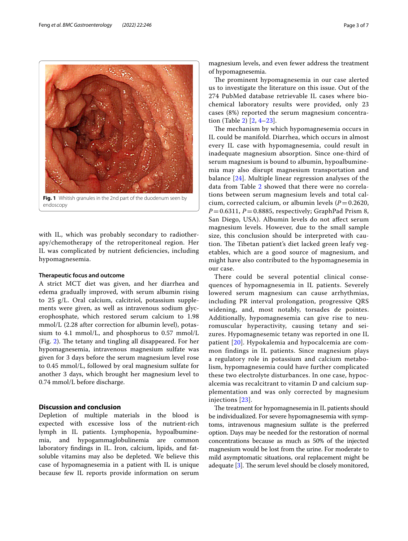

<span id="page-2-0"></span>with IL, which was probably secondary to radiotherapy/chemotherapy of the retroperitoneal region. Her IL was complicated by nutrient defciencies, including hypomagnesemia.

#### **Therapeutic focus and outcome**

A strict MCT diet was given, and her diarrhea and edema gradually improved, with serum albumin rising to 25 g/L. Oral calcium, calcitriol, potassium supplements were given, as well as intravenous sodium glycerophosphate, which restored serum calcium to 1.98 mmol/L (2.28 after correction for albumin level), potassium to 4.1 mmol/L, and phosphorus to 0.57 mmol/L (Fig.  $2$ ). The tetany and tingling all disappeared. For her hypomagnesemia, intravenous magnesium sulfate was given for 3 days before the serum magnesium level rose to 0.45 mmol/L, followed by oral magnesium sulfate for another 3 days, which brought her magnesium level to 0.74 mmol/L before discharge.

## **Discussion and conclusion**

Depletion of multiple materials in the blood is expected with excessive loss of the nutrient-rich lymph in IL patients. Lymphopenia, hypoalbuminemia, and hypogammaglobulinemia are common laboratory fndings in IL. Iron, calcium, lipids, and fatsoluble vitamins may also be depleted. We believe this case of hypomagnesemia in a patient with IL is unique because few IL reports provide information on serum

magnesium levels, and even fewer address the treatment of hypomagnesemia.

The prominent hypomagnesemia in our case alerted us to investigate the literature on this issue. Out of the 274 PubMed database retrievable IL cases where biochemical laboratory results were provided, only 23 cases (8%) reported the serum magnesium concentration (Table [2](#page-4-0)) [\[2](#page-6-1), [4](#page-6-3)[–23\]](#page-6-4).

The mechanism by which hypomagnesemia occurs in IL could be manifold. Diarrhea, which occurs in almost every IL case with hypomagnesemia, could result in inadequate magnesium absorption. Since one-third of serum magnesium is bound to albumin, hypoalbuminemia may also disrupt magnesium transportation and balance [\[24](#page-6-5)]. Multiple linear regression analyses of the data from Table [2](#page-4-0) showed that there were no correlations between serum magnesium levels and total calcium, corrected calcium, or albumin levels  $(P=0.2620,$  $P=0.6311$ ,  $P=0.8885$ , respectively; GraphPad Prism 8, San Diego, USA). Albumin levels do not afect serum magnesium levels. However, due to the small sample size, this conclusion should be interpreted with caution. The Tibetan patient's diet lacked green leafy vegetables, which are a good source of magnesium, and might have also contributed to the hypomagnesemia in our case.

There could be several potential clinical consequences of hypomagnesemia in IL patients. Severely lowered serum magnesium can cause arrhythmias, including PR interval prolongation, progressive QRS widening, and, most notably, torsades de pointes. Additionally, hypomagnesemia can give rise to neuromuscular hyperactivity, causing tetany and seizures. Hypomagnesemic tetany was reported in one IL patient [[20](#page-6-6)]. Hypokalemia and hypocalcemia are common findings in IL patients. Since magnesium plays a regulatory role in potassium and calcium metabolism, hypomagnesemia could have further complicated these two electrolyte disturbances. In one case, hypocalcemia was recalcitrant to vitamin D and calcium supplementation and was only corrected by magnesium injections [\[23\]](#page-6-4).

The treatment for hypomagnesemia in IL patients should be individualized. For severe hypomagnesemia with symptoms, intravenous magnesium sulfate is the preferred option. Days may be needed for the restoration of normal concentrations because as much as 50% of the injected magnesium would be lost from the urine. For moderate to mild asymptomatic situations, oral replacement might be adequate  $[3]$  $[3]$ . The serum level should be closely monitored,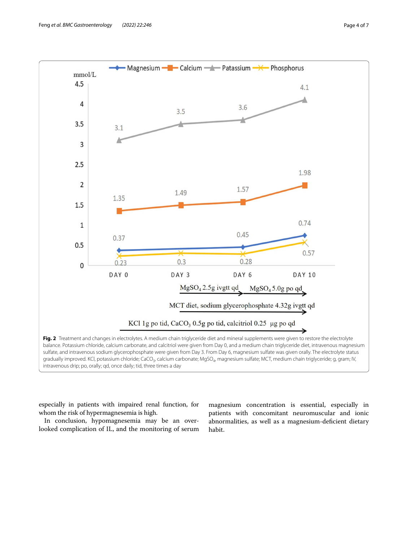

<span id="page-3-0"></span>especially in patients with impaired renal function, for whom the risk of hypermagnesemia is high.

In conclusion, hypomagnesemia may be an overlooked complication of IL, and the monitoring of serum

magnesium concentration is essential, especially in patients with concomitant neuromuscular and ionic abnormalities, as well as a magnesium-deficient dietary habit.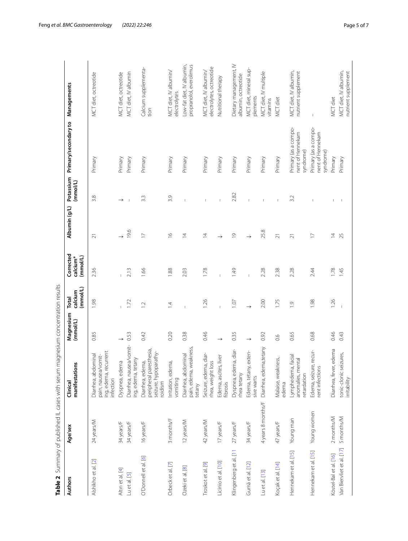|                           |                    | Table 2 Summary of published IL cases with serum magnesium concentration results     |                       |                              |                                               |                         |                       |                                                       |                                                      |
|---------------------------|--------------------|--------------------------------------------------------------------------------------|-----------------------|------------------------------|-----------------------------------------------|-------------------------|-----------------------|-------------------------------------------------------|------------------------------------------------------|
| <b>Authors</b>            | Age/sex            | manifestations<br>Clinical                                                           | Magnesium<br>(mmol/L) | (mmol/L)<br>calcium<br>Total | Corrected<br>(mmol/L)<br>calcium <sup>*</sup> | Albumin (g/L)           | Potassium<br>(mmol/L) | Primary/secondary to                                  | Managements                                          |
| Alshikho et al. [2]       | 24 years/M         | ecurrent<br>Diarrhea, abdominal<br>pain, nausea/vomit-<br>ing, edema, r<br>infection | 0.85                  | 1.98                         | 2.36                                          | ಸ                       | 3.8                   | Primary                                               | MCT diet, octreotide                                 |
| Altın et al. [4]          | 34 years/F         | Dyspnea, edema                                                                       |                       |                              |                                               |                         |                       | Primary                                               | MCT diet, octreotide                                 |
| Lu et al. [5]             | 34 years/F         | Diarrhea, nausea/vomit-<br>ing, edema, tetany                                        | 0.53                  | 1.72                         | 2.13                                          | 19.6                    |                       | Primary                                               | MCT diet, IV albumin                                 |
| O'Donnell et al. [6]      | 16 years/F         | peripheral paresthesia,<br>seizure, hypoparathy-<br>Diarrhea, edema,<br>roidism      | 0.42                  | $\overline{C}$               | 1.66                                          | $\overline{1}$          | 3.3                   | Primary                                               | Calcium supplementa-<br>tion                         |
| Orbeck et al. [7]         | 3 months/F         | Irritation, edema,<br>vomiting                                                       | 0.20                  | $\overline{4}$               | 1.88                                          | $\frac{\infty}{\infty}$ | 3.9                   | Primary                                               | MCT diet, IV albumin/<br>electrolytes                |
| Ozeki et al. [8]          | 12 years/M         | pain, edema, weakness<br>Diarrhea, abdominal<br>tetany                               | 0.38                  | $\overline{1}$               | 2.03                                          | $\overline{4}$          |                       | Primary                                               | Low-fat diet, IV albumin,<br>propranolol, everolimus |
| Troskot et al. [9]        | 42 years/M         | Seizure, edema, diar-<br>rhea, weight loss                                           | 0.46                  | 1.26                         | 1.78                                          | $\overline{4}$          |                       | Primary                                               | electrolytes, octreotide<br>MCT diet, IV albumin/    |
| Licinio et al. [10]       | 17 years/F         | Edema, ascites, liver<br>fibrosis                                                    | $\rightarrow$         |                              |                                               |                         |                       | Primary                                               | Nutritional therapy                                  |
| Klingenberg et al. [11    | 27 years/F         | Dyspnea, edema, diar-<br>rhea tetany                                                 | 0.35                  | 1.07                         | 1.49                                          | $\overline{0}$          | 2.82                  | Primary                                               | Dietary management, IV<br>albumin, octreotide        |
| Gumà et al. [12]          | 34 years/F         | Edema, tetany, exten-<br>sive warts                                                  | $\rightarrow$         |                              |                                               |                         |                       | Primary                                               | MCT diet, mineral sup-<br>plements                   |
| Lu et al. [13]            | 4 years 8 months/F | Diarrhea, edema, tetany                                                              | 0.92                  | 2.00                         | 2.28                                          | 25.8                    |                       | Primary                                               | MCT diet, IV multiple<br>vitamins                    |
| Koçak et al. [14]         | 47 years/F         | Malaise, weakness,<br>edema                                                          | 0.6                   | 1.75                         | 2.38                                          | $\overline{\sim}$       |                       | Primary                                               | MCT diet                                             |
| Hennekam et al. [15]      | Young man          | ha, facial<br>anomalies, mental<br>Lymphedem<br>retardation                          | 0.65                  | $\overline{0}$               | 2.28                                          | $\overline{\sim}$       | 3.2                   | Primary (as a compo-<br>nent of Hennekam<br>syndrome) | MCT diet, IV albumin,<br>nutrient supplement         |
| Hennekam et al. [15]      | Young women        | Edema, seizure, recur-<br>rent infections                                            | 0.68                  | 1.98                         | 2.44                                          | $\overline{C}$          |                       | Primary (as a compo-<br>nent of Hennekam<br>syndrome) | $\mathbf{I}$                                         |
| Köstel-Bal et al. [16]    | 2 months/M         | Diarrhea, fever, edema                                                               | 0.46                  | 1.26                         | 1.78                                          | $\overline{4}$          |                       | Primary                                               | MCT diet                                             |
| Van Biervliet et al. [17] | 5 months/M         | tonic-clonic seizures,<br>irritability                                               | 0.43                  |                              | 1.45                                          | 25                      |                       | Primary                                               | MCT diet, IV albumin,<br>nutrient supplement         |

<span id="page-4-0"></span>

| J<br>l                                    |
|-------------------------------------------|
|                                           |
|                                           |
|                                           |
|                                           |
|                                           |
|                                           |
| .<br>3<br>3<br>3<br>3<br>3<br>5<br>1<br>i |
|                                           |
| I                                         |
|                                           |
|                                           |
|                                           |
|                                           |
|                                           |
|                                           |
|                                           |
| t                                         |
| ້<br>ເ                                    |
|                                           |
| l                                         |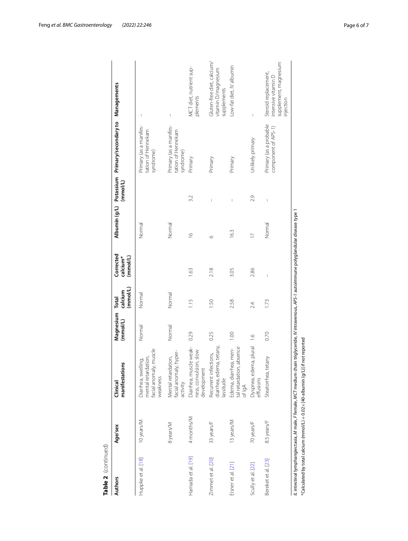| Table 2 (continued) |             |                                                                                                                                                                                                                                                   |                       |                              |                                               |                |                                       |                                                           |                                                                                                                                                                                                                                                                                                                                                                                  |
|---------------------|-------------|---------------------------------------------------------------------------------------------------------------------------------------------------------------------------------------------------------------------------------------------------|-----------------------|------------------------------|-----------------------------------------------|----------------|---------------------------------------|-----------------------------------------------------------|----------------------------------------------------------------------------------------------------------------------------------------------------------------------------------------------------------------------------------------------------------------------------------------------------------------------------------------------------------------------------------|
| <b>Authors</b>      | Age/sex     | manifestations<br>Clinical                                                                                                                                                                                                                        | Magnesium<br>(mmol/L) | (mmol/L)<br>calcium<br>Total | Corrected<br>(mmol/L)<br>calcium <sup>*</sup> |                | (mmol/L)                              | Albumin (g/L) Potassium Primary/secondary to Managements  |                                                                                                                                                                                                                                                                                                                                                                                  |
| Huppke et al. [18]  | 10 years/M  | facial anomaly, muscle<br>mental retardation,<br>Diarrhea, swelling,<br>weakness                                                                                                                                                                  | Normal                | Normal                       |                                               | Normal         |                                       | Primary (as a manifes-<br>tation of Hennekam<br>syndrome) | $\begin{array}{c} \rule{0pt}{2.5ex} \rule{0pt}{2.5ex} \rule{0pt}{2.5ex} \rule{0pt}{2.5ex} \rule{0pt}{2.5ex} \rule{0pt}{2.5ex} \rule{0pt}{2.5ex} \rule{0pt}{2.5ex} \rule{0pt}{2.5ex} \rule{0pt}{2.5ex} \rule{0pt}{2.5ex} \rule{0pt}{2.5ex} \rule{0pt}{2.5ex} \rule{0pt}{2.5ex} \rule{0pt}{2.5ex} \rule{0pt}{2.5ex} \rule{0pt}{2.5ex} \rule{0pt}{2.5ex} \rule{0pt}{2.5ex} \rule{0$ |
|                     | 8 years/M   | Mental retardation,<br>facial anomaly, hyper-<br>activity                                                                                                                                                                                         | Normal                | Normal                       |                                               | Normal         |                                       | Primary (as a manifes-<br>tation of Hennekam<br>syndrome) | $\overline{\phantom{a}}$                                                                                                                                                                                                                                                                                                                                                         |
| Hamada et al. [19]  | 4 months/M  | Diarrhea, muscle weak-<br>ness, convulsion, slow<br>development                                                                                                                                                                                   | 0.29                  | 1.15                         | 1.63                                          | $\frac{6}{1}$  | 3.2                                   | Primary                                                   | MCT diet, nutrient sup-<br>plements                                                                                                                                                                                                                                                                                                                                              |
| Zimmet et al. [20]  | 33 years/F  | diarrhea, edema, tetany,<br>Recurrent infections,<br>lassitude                                                                                                                                                                                    | 0.25                  | 1.50                         | 2.18                                          | $\circ$        |                                       | Primary                                                   | Gluten-free diet, calcium/<br>vitamin D/magnesium<br>supplements                                                                                                                                                                                                                                                                                                                 |
| Eisner et al. [21]  | 13 years/M  | tal retardation, absence<br>Edema, diarrhea, men-<br>of IgA                                                                                                                                                                                       | 1.00                  | 2.58                         | 3.05                                          | 16.3           | I                                     | Primary                                                   | Low-fat diet, IV albumin                                                                                                                                                                                                                                                                                                                                                         |
| Scully et al. [22]  | 70 years/F  | Dyspnea, edema, plural<br>effusions                                                                                                                                                                                                               | $\frac{6}{1}$         | 2.4                          | 2.86                                          | $\overline{C}$ | 2.9                                   | Unlikely primary                                          | Ï                                                                                                                                                                                                                                                                                                                                                                                |
| Bereket et al. [23] | 8.5 years/F | Steatorrhea, tetany                                                                                                                                                                                                                               | 0.70                  | 1.73                         | $\overline{1}$                                | Normal         | $\begin{array}{c} \hline \end{array}$ | Primary (as a probable<br>component of APS-1)             | supplement, magnesium<br>Steroid replacement,<br>intensive vitamin D<br>injection                                                                                                                                                                                                                                                                                                |
|                     |             | l' intestinal lymphangiectasia, M male, Female, MCT medium chain triglyceride, IV intravenous, APS-1 autoimmune polyglandular disease type 1<br>$^\ast$ Calculated by total calcium (mmol/L) $+$ 0.02 $\times$ (40-albumin (q/L)] if not reported |                       |                              |                                               |                |                                       |                                                           |                                                                                                                                                                                                                                                                                                                                                                                  |